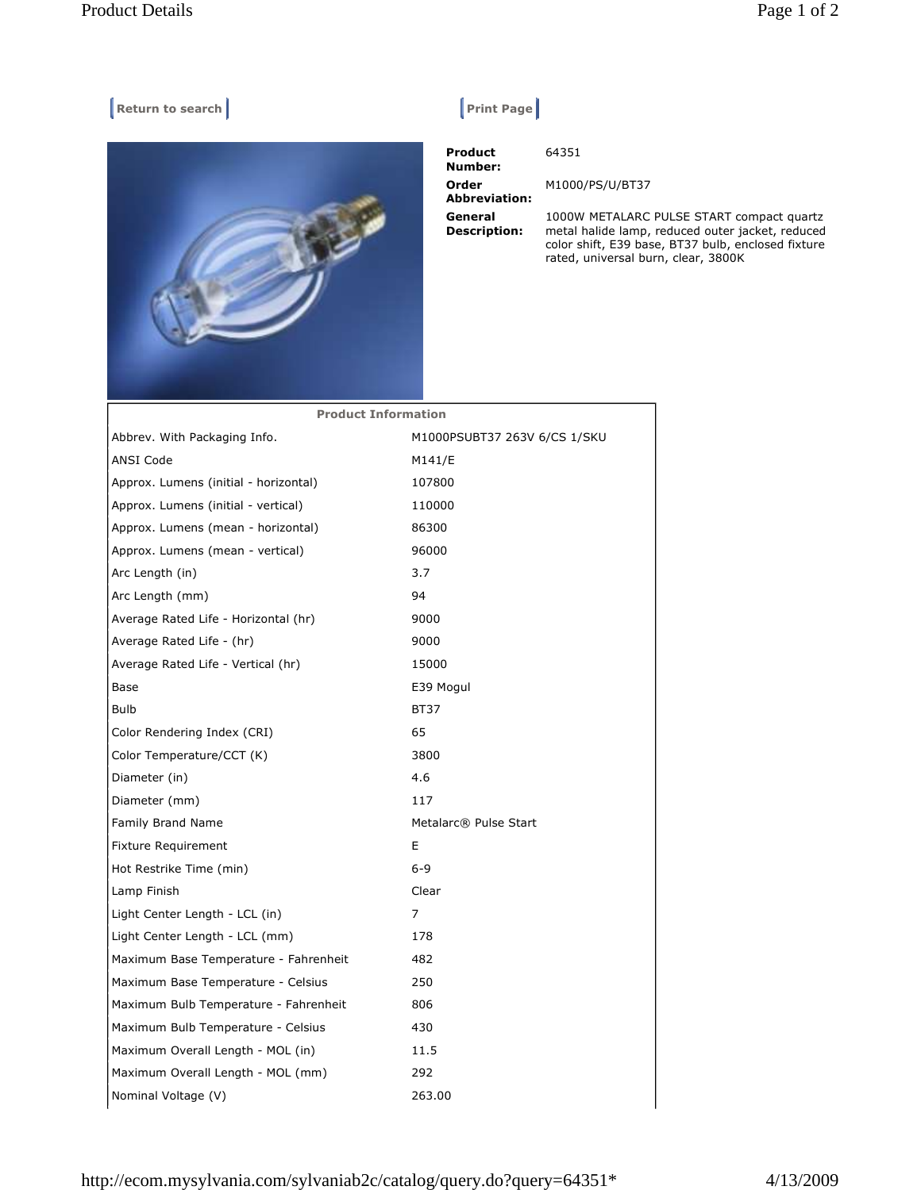## **Return to search Return Construction Construction Construction Print Page |**



 **Product Number:**  64351 **Order Abbreviation:**  M1000/PS/U/BT37 **General Description:**  1000W METALARC PULSE START compact quartz metal halide lamp, reduced outer jacket, reduced color shift, E39 base, BT37 bulb, enclosed fixture rated, universal burn, clear, 3800K

| <b>Product Information</b>            |                              |
|---------------------------------------|------------------------------|
| Abbrev. With Packaging Info.          | M1000PSUBT37 263V 6/CS 1/SKU |
| <b>ANSI Code</b>                      | M141/E                       |
| Approx. Lumens (initial - horizontal) | 107800                       |
| Approx. Lumens (initial - vertical)   | 110000                       |
| Approx. Lumens (mean - horizontal)    | 86300                        |
| Approx. Lumens (mean - vertical)      | 96000                        |
| Arc Length (in)                       | 3.7                          |
| Arc Length (mm)                       | 94                           |
| Average Rated Life - Horizontal (hr)  | 9000                         |
| Average Rated Life - (hr)             | 9000                         |
| Average Rated Life - Vertical (hr)    | 15000                        |
| Base                                  | E39 Mogul                    |
| <b>Bulb</b>                           | <b>BT37</b>                  |
| Color Rendering Index (CRI)           | 65                           |
| Color Temperature/CCT (K)             | 3800                         |
| Diameter (in)                         | 4.6                          |
| Diameter (mm)                         | 117                          |
| Family Brand Name                     | Metalarc® Pulse Start        |
| <b>Fixture Requirement</b>            | E                            |
| Hot Restrike Time (min)               | $6 - 9$                      |
| Lamp Finish                           | Clear                        |
| Light Center Length - LCL (in)        | 7                            |
| Light Center Length - LCL (mm)        | 178                          |
| Maximum Base Temperature - Fahrenheit | 482                          |
| Maximum Base Temperature - Celsius    | 250                          |
| Maximum Bulb Temperature - Fahrenheit | 806                          |
| Maximum Bulb Temperature - Celsius    | 430                          |
| Maximum Overall Length - MOL (in)     | 11.5                         |
| Maximum Overall Length - MOL (mm)     | 292                          |
| Nominal Voltage (V)                   | 263.00                       |